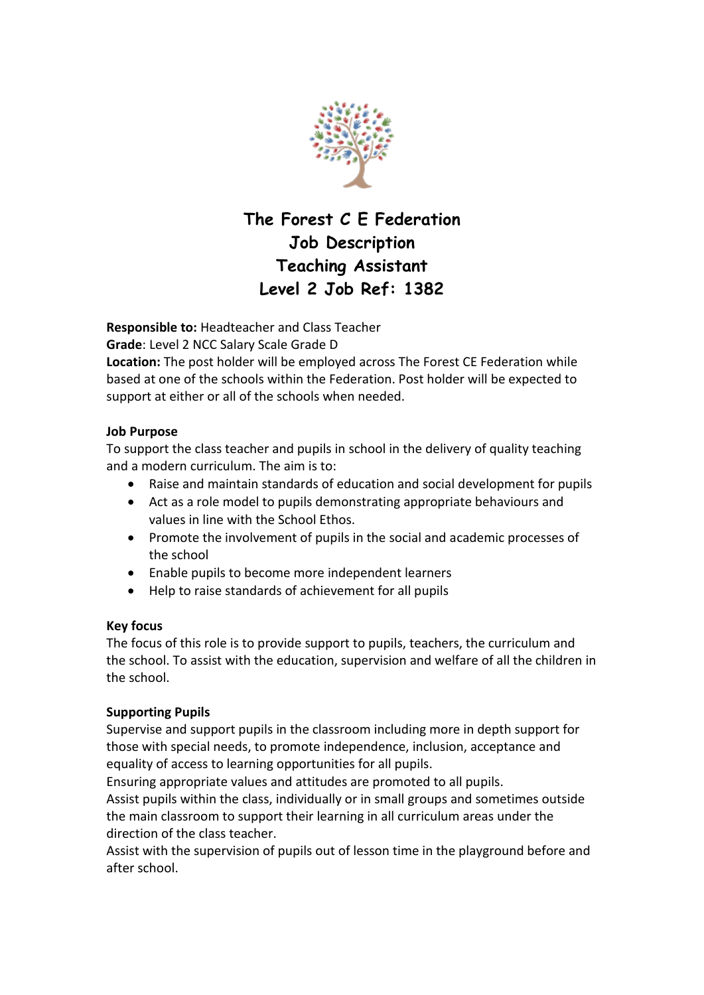

# **The Forest C E Federation Job Description Teaching Assistant Level 2 Job Ref: 1382**

**Responsible to:** Headteacher and Class Teacher

**Grade**: Level 2 NCC Salary Scale Grade D

**Location:** The post holder will be employed across The Forest CE Federation while based at one of the schools within the Federation. Post holder will be expected to support at either or all of the schools when needed.

## **Job Purpose**

To support the class teacher and pupils in school in the delivery of quality teaching and a modern curriculum. The aim is to:

- Raise and maintain standards of education and social development for pupils
- Act as a role model to pupils demonstrating appropriate behaviours and values in line with the School Ethos.
- Promote the involvement of pupils in the social and academic processes of the school
- Enable pupils to become more independent learners
- Help to raise standards of achievement for all pupils

### **Key focus**

The focus of this role is to provide support to pupils, teachers, the curriculum and the school. To assist with the education, supervision and welfare of all the children in the school.

## **Supporting Pupils**

Supervise and support pupils in the classroom including more in depth support for those with special needs, to promote independence, inclusion, acceptance and equality of access to learning opportunities for all pupils.

Ensuring appropriate values and attitudes are promoted to all pupils. Assist pupils within the class, individually or in small groups and sometimes outside the main classroom to support their learning in all curriculum areas under the direction of the class teacher.

Assist with the supervision of pupils out of lesson time in the playground before and after school.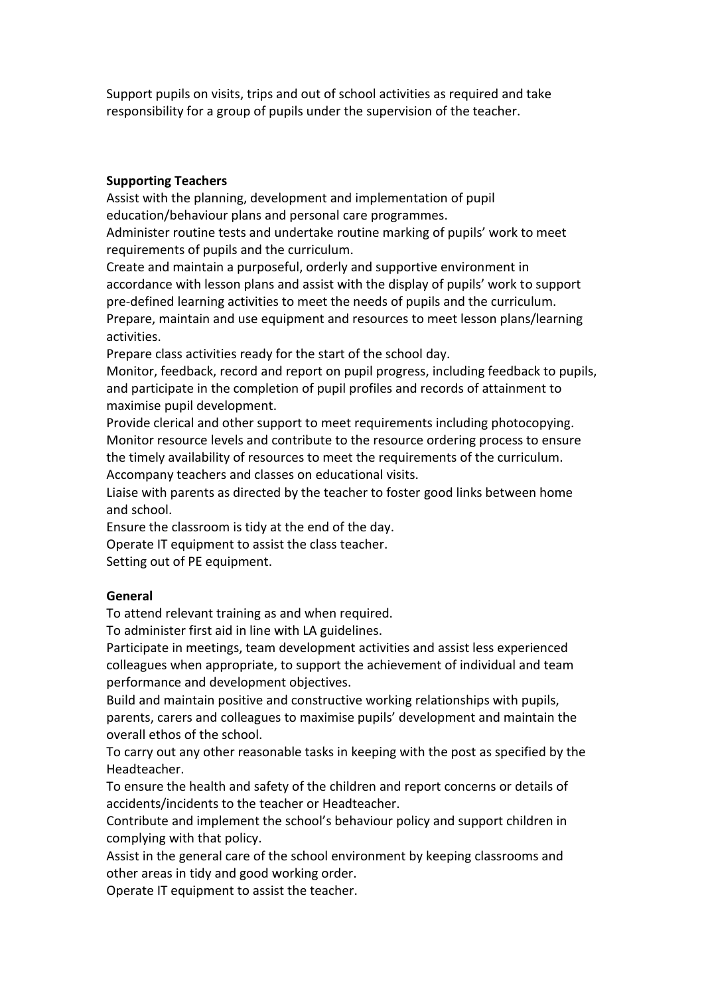Support pupils on visits, trips and out of school activities as required and take responsibility for a group of pupils under the supervision of the teacher.

#### **Supporting Teachers**

Assist with the planning, development and implementation of pupil education/behaviour plans and personal care programmes.

Administer routine tests and undertake routine marking of pupils' work to meet requirements of pupils and the curriculum.

Create and maintain a purposeful, orderly and supportive environment in accordance with lesson plans and assist with the display of pupils' work to support pre-defined learning activities to meet the needs of pupils and the curriculum. Prepare, maintain and use equipment and resources to meet lesson plans/learning activities.

Prepare class activities ready for the start of the school day.

Monitor, feedback, record and report on pupil progress, including feedback to pupils, and participate in the completion of pupil profiles and records of attainment to maximise pupil development.

Provide clerical and other support to meet requirements including photocopying. Monitor resource levels and contribute to the resource ordering process to ensure the timely availability of resources to meet the requirements of the curriculum. Accompany teachers and classes on educational visits.

Liaise with parents as directed by the teacher to foster good links between home and school.

Ensure the classroom is tidy at the end of the day.

Operate IT equipment to assist the class teacher.

Setting out of PE equipment.

#### **General**

To attend relevant training as and when required.

To administer first aid in line with LA guidelines.

Participate in meetings, team development activities and assist less experienced colleagues when appropriate, to support the achievement of individual and team performance and development objectives.

Build and maintain positive and constructive working relationships with pupils, parents, carers and colleagues to maximise pupils' development and maintain the overall ethos of the school.

To carry out any other reasonable tasks in keeping with the post as specified by the Headteacher.

To ensure the health and safety of the children and report concerns or details of accidents/incidents to the teacher or Headteacher.

Contribute and implement the school's behaviour policy and support children in complying with that policy.

Assist in the general care of the school environment by keeping classrooms and other areas in tidy and good working order.

Operate IT equipment to assist the teacher.